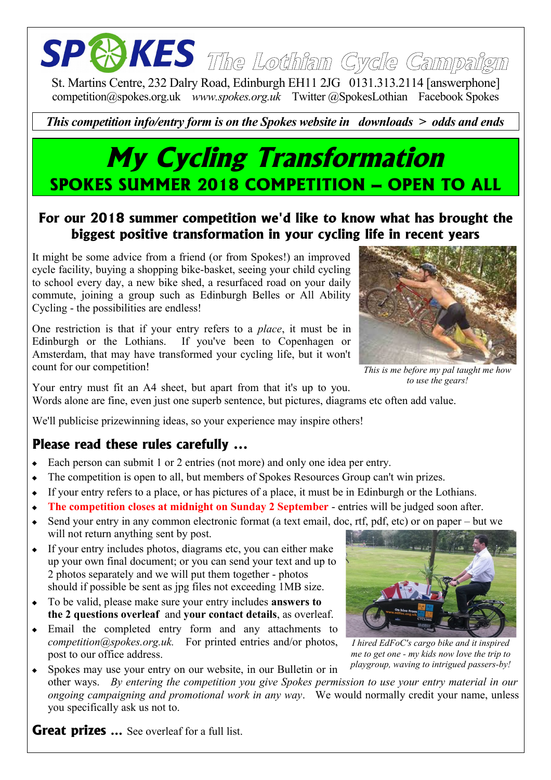# **The Lothian Cycle Campaign**

St. Martins Centre, 232 Dalry Road, Edinburgh EH11 2JG 0131.313.2114 [answerphone] competition@spokes.org.uk *www.spokes.org.uk* Twitter @SpokesLothian Facebook Spokes

#### *This competition info/entry form is on the Spokes website in downloads > odds and ends*

### **My Cycling Transformation SPOKES SUMMER 2018 COMPETITION – OPEN TO ALL**

#### **For our 2018 summer competition we'd like to know what has brought the biggest positive transformation in your cycling life in recent years**

It might be some advice from a friend (or from Spokes!) an improved cycle facility, buying a shopping bike-basket, seeing your child cycling to school every day, a new bike shed, a resurfaced road on your daily commute, joining a group such as Edinburgh Belles or All Ability Cycling - the possibilities are endless!

One restriction is that if your entry refers to a *place*, it must be in Edinburgh or the Lothians. If you've been to Copenhagen or Amsterdam, that may have transformed your cycling life, but it won't count for our competition!



*This is me before my pal taught me how to use the gears!*

Your entry must fit an A4 sheet, but apart from that it's up to you. Words alone are fine, even just one superb sentence, but pictures, diagrams etc often add value.

We'll publicise prizewinning ideas, so your experience may inspire others!

#### **Please read these rules carefully ...**

- Each person can submit 1 or 2 entries (not more) and only one idea per entry.
- The competition is open to all, but members of Spokes Resources Group can't win prizes.
- If your entry refers to a place, or has pictures of a place, it must be in Edinburgh or the Lothians.
- **The competition closes at midnight on Sunday 2 September** entries will be judged soon after.
- Send your entry in any common electronic format (a text email, doc, rtf, pdf, etc) or on paper but we will not return anything sent by post.
- If your entry includes photos, diagrams etc, you can either make up your own final document; or you can send your text and up to 2 photos separately and we will put them together - photos should if possible be sent as jpg files not exceeding 1MB size.
- To be valid, please make sure your entry includes **answers to the 2 questions overleaf** and **your contact details**, as overleaf.
- Email the completed entry form and any attachments to *competition@spokes.org.uk.* For printed entries and/or photos, post to our office address.

Spokes may use your entry on our website, in our Bulletin or in

other ways. *By entering the competition you give Spokes permission to use your entry material in our ongoing campaigning and promotional work in any way*. We would normally credit your name, unless you specifically ask us not to.

**Great prizes ...** See overleaf for a full list.



*I hired EdFoC's cargo bike and it inspired me to get one - my kids now love the trip to playgroup, waving to intrigued passers-by!*